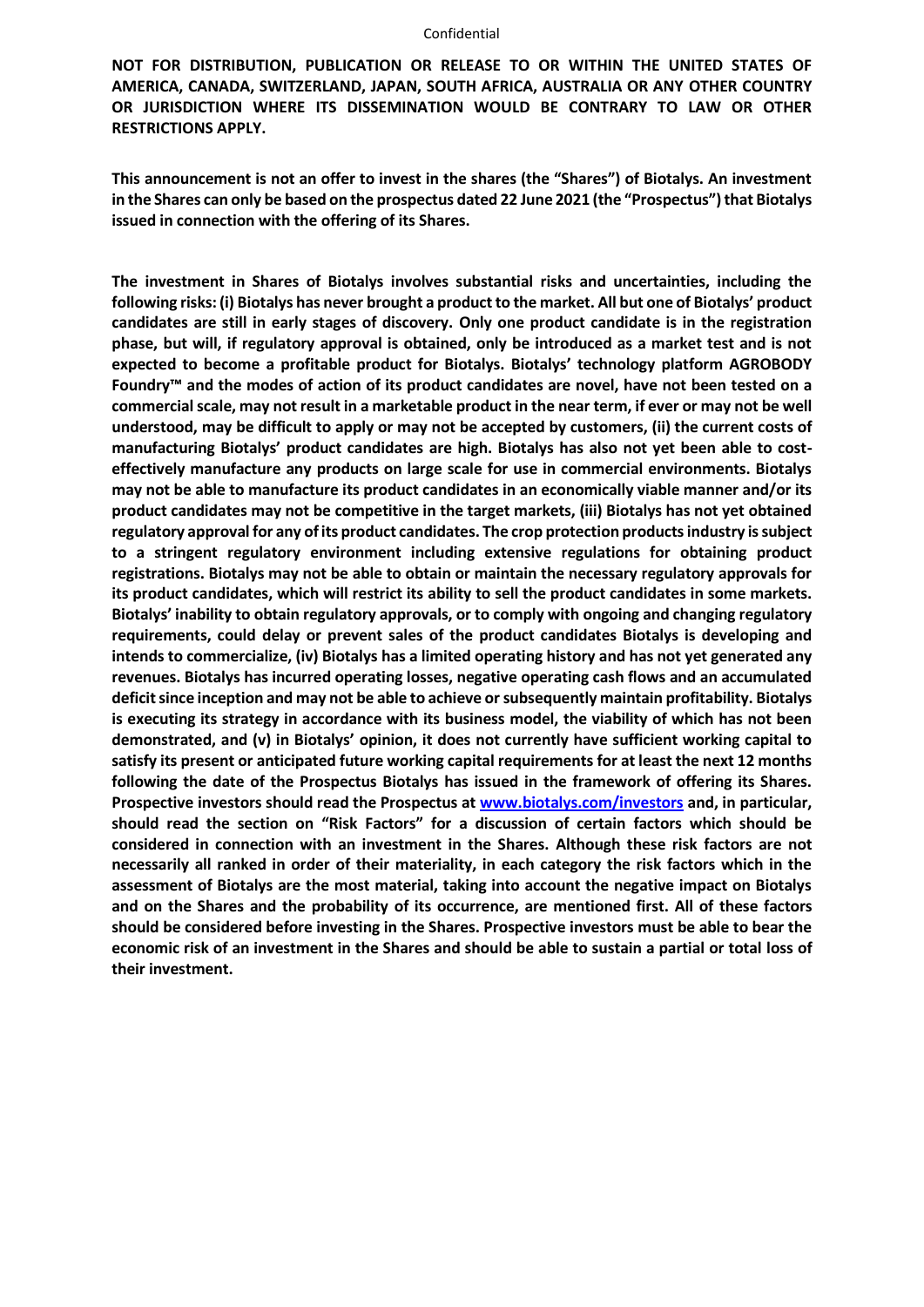#### Confidential

**NOT FOR DISTRIBUTION, PUBLICATION OR RELEASE TO OR WITHIN THE UNITED STATES OF AMERICA, CANADA, SWITZERLAND, JAPAN, SOUTH AFRICA, AUSTRALIA OR ANY OTHER COUNTRY OR JURISDICTION WHERE ITS DISSEMINATION WOULD BE CONTRARY TO LAW OR OTHER RESTRICTIONS APPLY.**

**This announcement is not an offer to invest in the shares (the "Shares") of Biotalys. An investment in the Shares can only be based on the prospectus dated 22 June 2021 (the "Prospectus") that Biotalys issued in connection with the offering of its Shares.**

**The investment in Shares of Biotalys involves substantial risks and uncertainties, including the following risks: (i) Biotalys has never brought a product to the market. All but one of Biotalys' product candidates are still in early stages of discovery. Only one product candidate is in the registration phase, but will, if regulatory approval is obtained, only be introduced as a market test and is not expected to become a profitable product for Biotalys. Biotalys' technology platform AGROBODY Foundry™ and the modes of action of its product candidates are novel, have not been tested on a commercial scale, may not result in a marketable product in the near term, if ever or may not be well understood, may be difficult to apply or may not be accepted by customers, (ii) the current costs of manufacturing Biotalys' product candidates are high. Biotalys has also not yet been able to costeffectively manufacture any products on large scale for use in commercial environments. Biotalys may not be able to manufacture its product candidates in an economically viable manner and/or its product candidates may not be competitive in the target markets, (iii) Biotalys has not yet obtained regulatory approval for any of its product candidates. The crop protection products industry is subject to a stringent regulatory environment including extensive regulations for obtaining product registrations. Biotalys may not be able to obtain or maintain the necessary regulatory approvals for its product candidates, which will restrict its ability to sell the product candidates in some markets. Biotalys' inability to obtain regulatory approvals, or to comply with ongoing and changing regulatory requirements, could delay or prevent sales of the product candidates Biotalys is developing and intends to commercialize, (iv) Biotalys has a limited operating history and has not yet generated any revenues. Biotalys has incurred operating losses, negative operating cash flows and an accumulated deficit since inception and may not be able to achieve orsubsequently maintain profitability. Biotalys is executing its strategy in accordance with its business model, the viability of which has not been demonstrated, and (v) in Biotalys' opinion, it does not currently have sufficient working capital to satisfy its present or anticipated future working capital requirements for at least the next 12 months following the date of the Prospectus Biotalys has issued in the framework of offering its Shares. Prospective investors should read the Prospectus at [www.biotalys.com/investors](http://www.biotalys.com/investors) and, in particular, should read the section on "Risk Factors" for a discussion of certain factors which should be considered in connection with an investment in the Shares. Although these risk factors are not necessarily all ranked in order of their materiality, in each category the risk factors which in the assessment of Biotalys are the most material, taking into account the negative impact on Biotalys and on the Shares and the probability of its occurrence, are mentioned first. All of these factors should be considered before investing in the Shares. Prospective investors must be able to bear the economic risk of an investment in the Shares and should be able to sustain a partial or total loss of their investment.**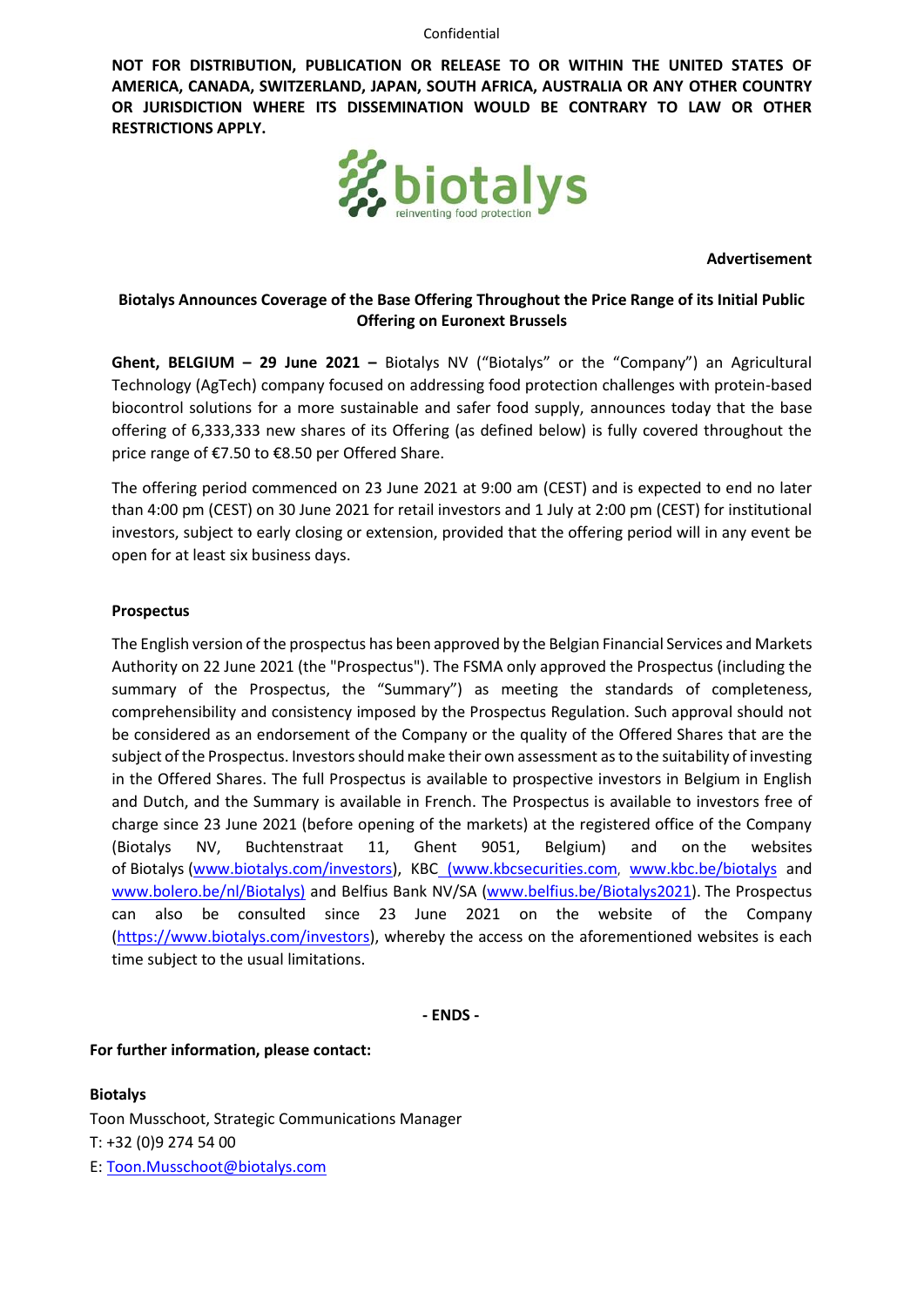Confidential

**NOT FOR DISTRIBUTION, PUBLICATION OR RELEASE TO OR WITHIN THE UNITED STATES OF AMERICA, CANADA, SWITZERLAND, JAPAN, SOUTH AFRICA, AUSTRALIA OR ANY OTHER COUNTRY OR JURISDICTION WHERE ITS DISSEMINATION WOULD BE CONTRARY TO LAW OR OTHER RESTRICTIONS APPLY.**



**Advertisement**

# **Biotalys Announces Coverage of the Base Offering Throughout the Price Range of its Initial Public Offering on Euronext Brussels**

**Ghent, BELGIUM – 29 June 2021 –** Biotalys NV ("Biotalys" or the "Company") an Agricultural Technology (AgTech) company focused on addressing food protection challenges with protein-based biocontrol solutions for a more sustainable and safer food supply, announces today that the base offering of 6,333,333 new shares of its Offering (as defined below) is fully covered throughout the price range of €7.50 to €8.50 per Offered Share.

The offering period commenced on 23 June 2021 at 9:00 am (CEST) and is expected to end no later than 4:00 pm (CEST) on 30 June 2021 for retail investors and 1 July at 2:00 pm (CEST) for institutional investors, subject to early closing or extension, provided that the offering period will in any event be open for at least six business days.

## **Prospectus**

The English version of the prospectus has been approved by the Belgian Financial Services and Markets Authority on 22 June 2021 (the "Prospectus"). The FSMA only approved the Prospectus (including the summary of the Prospectus, the "Summary") as meeting the standards of completeness, comprehensibility and consistency imposed by the Prospectus Regulation. Such approval should not be considered as an endorsement of the Company or the quality of the Offered Shares that are the subject of the Prospectus. Investors should make their own assessment as to the suitability of investing in the Offered Shares. The full Prospectus is available to prospective investors in Belgium in English and Dutch, and the Summary is available in French. The Prospectus is available to investors free of charge since 23 June 2021 (before opening of the markets) at the registered office of the Company (Biotalys NV, Buchtenstraat 11, Ghent 9051, Belgium) and on the websites of Biotalys [\(www.biotalys.com/investors\)](http://www.biotalys.com/investors), KBC [\(www.kbcsecurities.com](https://www.kbcsecurities.com/prospectus-documents-overviews/prospectus-overview), [www.kbc.be/biotalys](http://www.kbc.be/biotalys) and [www.bolero.be/nl/Biotalys\)](http://www.bolero.be/nl/Biotalys) and Belfius Bank NV/SA [\(www.belfius.be/Biotalys2021\)](file:///C:/Users/toon.musschoot/AppData/Local/Microsoft/Windows/INetCache/Content.Outlook/WTAG9WZB/www.belfius.be/Biotalys2021). The Prospectus can also be consulted since 23 June 2021 on the website of the Company [\(https://www.biotalys.com/investors\)](https://www.biotalys.com/investors), whereby the access on the aforementioned websites is each time subject to the usual limitations.

**- ENDS -**

### **For further information, please contact:**

**Biotalys** Toon Musschoot, Strategic Communications Manager T: +32 (0)9 274 54 00 E: Toon.Musschoot@biotalys.com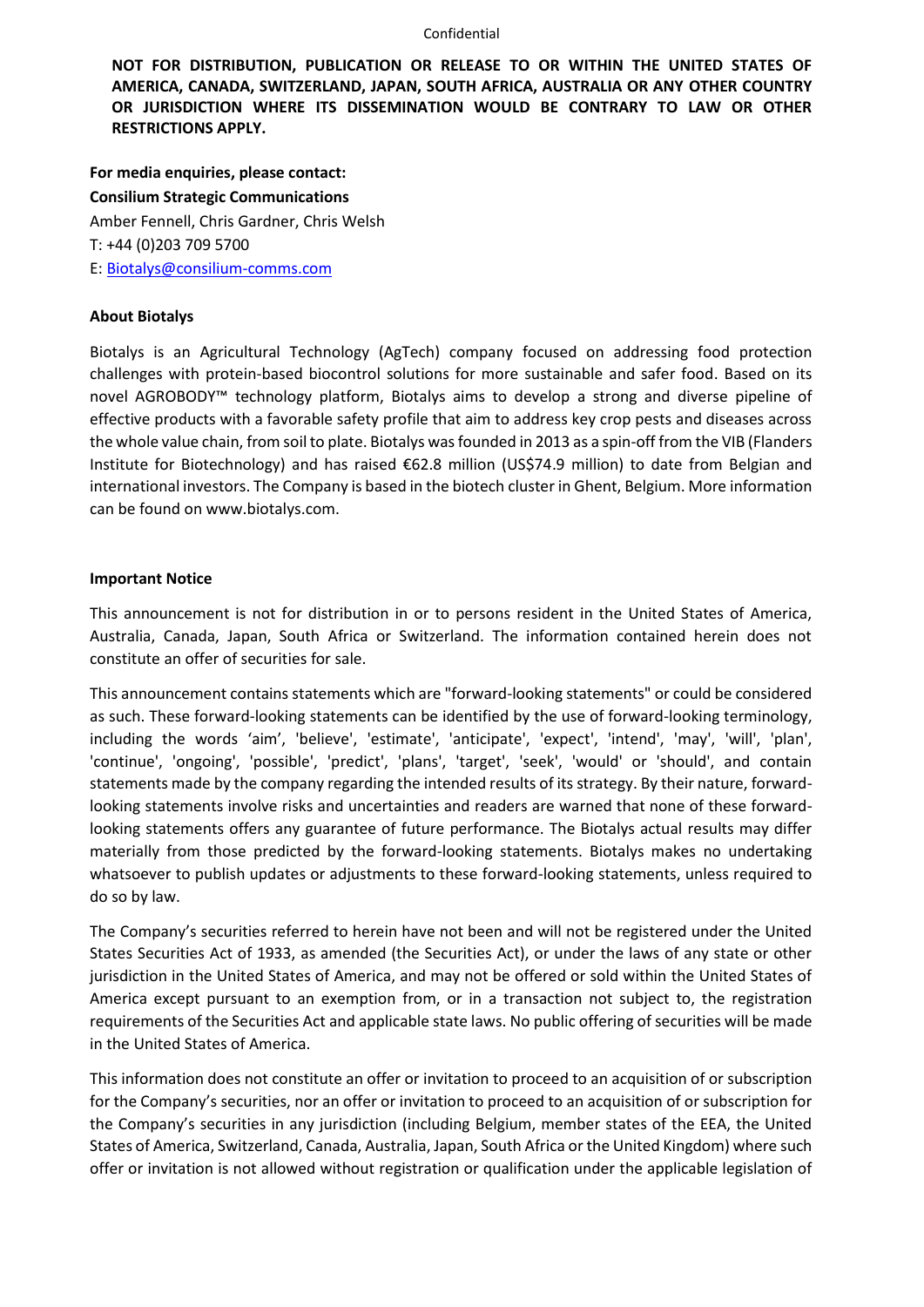#### Confidential

**NOT FOR DISTRIBUTION, PUBLICATION OR RELEASE TO OR WITHIN THE UNITED STATES OF AMERICA, CANADA, SWITZERLAND, JAPAN, SOUTH AFRICA, AUSTRALIA OR ANY OTHER COUNTRY OR JURISDICTION WHERE ITS DISSEMINATION WOULD BE CONTRARY TO LAW OR OTHER RESTRICTIONS APPLY.**

**For media enquiries, please contact: Consilium Strategic Communications** Amber Fennell, Chris Gardner, Chris Welsh T: +44 (0)203 709 5700 E: Biotalys@consilium-comms.com

### **About Biotalys**

Biotalys is an Agricultural Technology (AgTech) company focused on addressing food protection challenges with protein-based biocontrol solutions for more sustainable and safer food. Based on its novel AGROBODY™ technology platform, Biotalys aims to develop a strong and diverse pipeline of effective products with a favorable safety profile that aim to address key crop pests and diseases across the whole value chain, from soil to plate. Biotalys was founded in 2013 as a spin-off from the VIB (Flanders Institute for Biotechnology) and has raised €62.8 million (US\$74.9 million) to date from Belgian and international investors. The Company is based in the biotech cluster in Ghent, Belgium. More information can be found on www.biotalys.com.

#### **Important Notice**

This announcement is not for distribution in or to persons resident in the United States of America, Australia, Canada, Japan, South Africa or Switzerland. The information contained herein does not constitute an offer of securities for sale.

This announcement contains statements which are "forward-looking statements" or could be considered as such. These forward-looking statements can be identified by the use of forward-looking terminology, including the words 'aim', 'believe', 'estimate', 'anticipate', 'expect', 'intend', 'may', 'will', 'plan', 'continue', 'ongoing', 'possible', 'predict', 'plans', 'target', 'seek', 'would' or 'should', and contain statements made by the company regarding the intended results of its strategy. By their nature, forwardlooking statements involve risks and uncertainties and readers are warned that none of these forwardlooking statements offers any guarantee of future performance. The Biotalys actual results may differ materially from those predicted by the forward-looking statements. Biotalys makes no undertaking whatsoever to publish updates or adjustments to these forward-looking statements, unless required to do so by law.

The Company's securities referred to herein have not been and will not be registered under the United States Securities Act of 1933, as amended (the Securities Act), or under the laws of any state or other jurisdiction in the United States of America, and may not be offered or sold within the United States of America except pursuant to an exemption from, or in a transaction not subject to, the registration requirements of the Securities Act and applicable state laws. No public offering of securities will be made in the United States of America.

This information does not constitute an offer or invitation to proceed to an acquisition of or subscription for the Company's securities, nor an offer or invitation to proceed to an acquisition of or subscription for the Company's securities in any jurisdiction (including Belgium, member states of the EEA, the United States of America, Switzerland, Canada, Australia, Japan, South Africa or the United Kingdom) where such offer or invitation is not allowed without registration or qualification under the applicable legislation of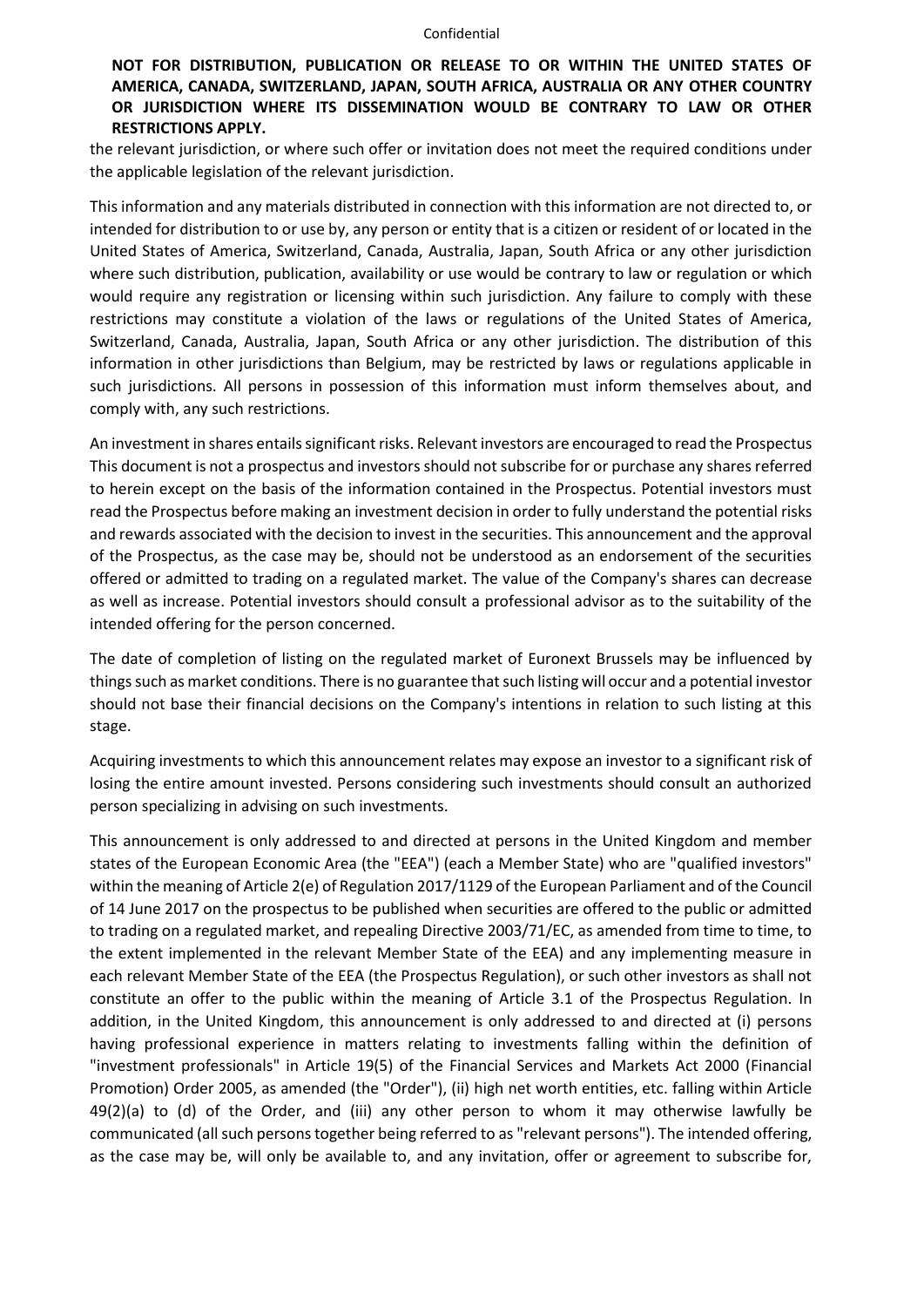## **NOT FOR DISTRIBUTION, PUBLICATION OR RELEASE TO OR WITHIN THE UNITED STATES OF AMERICA, CANADA, SWITZERLAND, JAPAN, SOUTH AFRICA, AUSTRALIA OR ANY OTHER COUNTRY OR JURISDICTION WHERE ITS DISSEMINATION WOULD BE CONTRARY TO LAW OR OTHER RESTRICTIONS APPLY.**

the relevant jurisdiction, or where such offer or invitation does not meet the required conditions under the applicable legislation of the relevant jurisdiction.

This information and any materials distributed in connection with this information are not directed to, or intended for distribution to or use by, any person or entity that is a citizen or resident of or located in the United States of America, Switzerland, Canada, Australia, Japan, South Africa or any other jurisdiction where such distribution, publication, availability or use would be contrary to law or regulation or which would require any registration or licensing within such jurisdiction. Any failure to comply with these restrictions may constitute a violation of the laws or regulations of the United States of America, Switzerland, Canada, Australia, Japan, South Africa or any other jurisdiction. The distribution of this information in other jurisdictions than Belgium, may be restricted by laws or regulations applicable in such jurisdictions. All persons in possession of this information must inform themselves about, and comply with, any such restrictions.

An investment in shares entails significant risks. Relevant investors are encouraged to read the Prospectus This document is not a prospectus and investors should not subscribe for or purchase any shares referred to herein except on the basis of the information contained in the Prospectus. Potential investors must read the Prospectus before making an investment decision in order to fully understand the potential risks and rewards associated with the decision to invest in the securities. This announcement and the approval of the Prospectus, as the case may be, should not be understood as an endorsement of the securities offered or admitted to trading on a regulated market. The value of the Company's shares can decrease as well as increase. Potential investors should consult a professional advisor as to the suitability of the intended offering for the person concerned.

The date of completion of listing on the regulated market of Euronext Brussels may be influenced by things such as market conditions. There is no guarantee that such listing will occur and a potential investor should not base their financial decisions on the Company's intentions in relation to such listing at this stage.

Acquiring investments to which this announcement relates may expose an investor to a significant risk of losing the entire amount invested. Persons considering such investments should consult an authorized person specializing in advising on such investments.

This announcement is only addressed to and directed at persons in the United Kingdom and member states of the European Economic Area (the "EEA") (each a Member State) who are "qualified investors" within the meaning of Article 2(e) of Regulation 2017/1129 of the European Parliament and of the Council of 14 June 2017 on the prospectus to be published when securities are offered to the public or admitted to trading on a regulated market, and repealing Directive 2003/71/EC, as amended from time to time, to the extent implemented in the relevant Member State of the EEA) and any implementing measure in each relevant Member State of the EEA (the Prospectus Regulation), or such other investors as shall not constitute an offer to the public within the meaning of Article 3.1 of the Prospectus Regulation. In addition, in the United Kingdom, this announcement is only addressed to and directed at (i) persons having professional experience in matters relating to investments falling within the definition of "investment professionals" in Article 19(5) of the Financial Services and Markets Act 2000 (Financial Promotion) Order 2005, as amended (the "Order"), (ii) high net worth entities, etc. falling within Article 49(2)(a) to (d) of the Order, and (iii) any other person to whom it may otherwise lawfully be communicated (all such persons together being referred to as "relevant persons"). The intended offering, as the case may be, will only be available to, and any invitation, offer or agreement to subscribe for,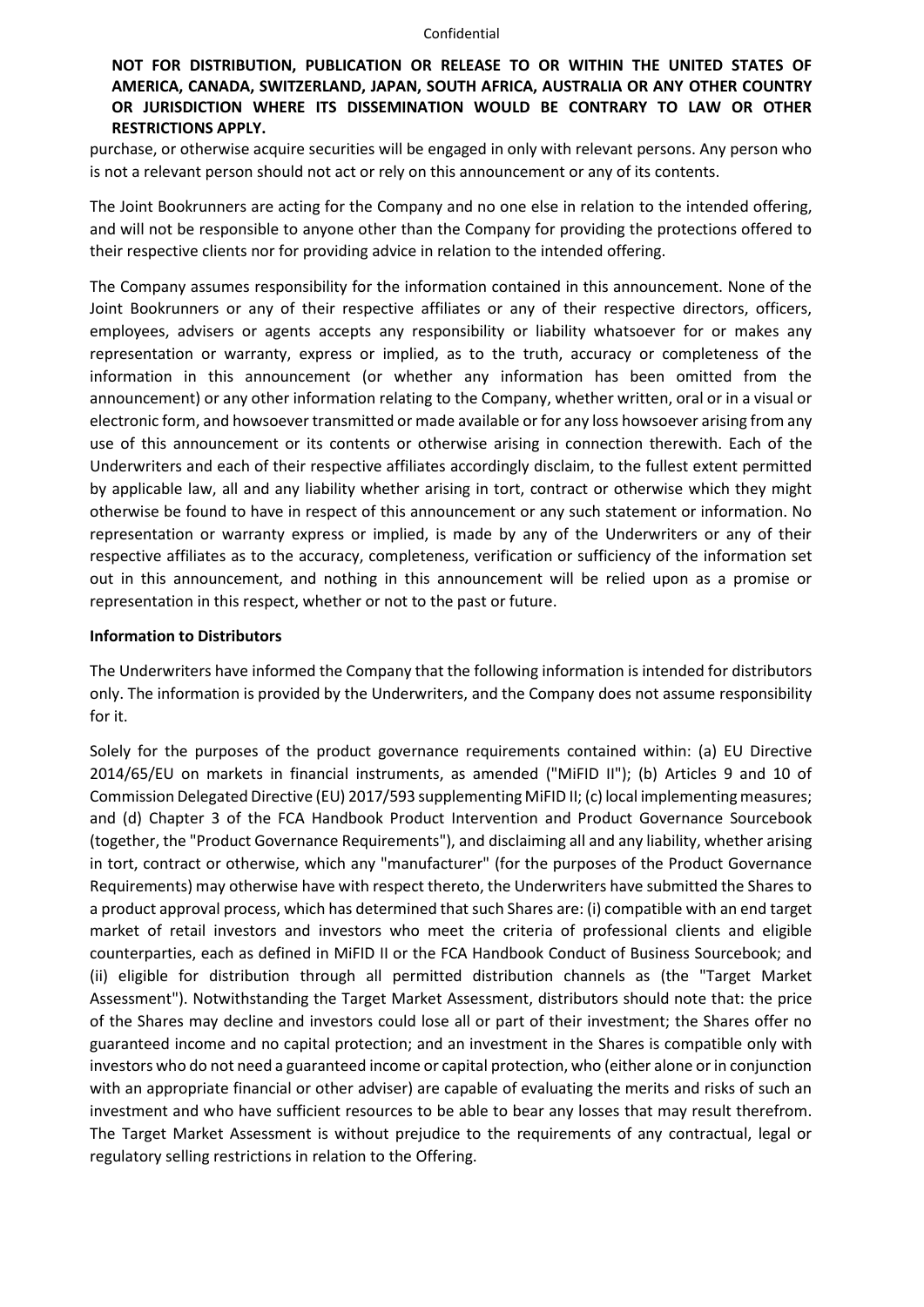## **NOT FOR DISTRIBUTION, PUBLICATION OR RELEASE TO OR WITHIN THE UNITED STATES OF AMERICA, CANADA, SWITZERLAND, JAPAN, SOUTH AFRICA, AUSTRALIA OR ANY OTHER COUNTRY OR JURISDICTION WHERE ITS DISSEMINATION WOULD BE CONTRARY TO LAW OR OTHER RESTRICTIONS APPLY.**

purchase, or otherwise acquire securities will be engaged in only with relevant persons. Any person who is not a relevant person should not act or rely on this announcement or any of its contents.

The Joint Bookrunners are acting for the Company and no one else in relation to the intended offering, and will not be responsible to anyone other than the Company for providing the protections offered to their respective clients nor for providing advice in relation to the intended offering.

The Company assumes responsibility for the information contained in this announcement. None of the Joint Bookrunners or any of their respective affiliates or any of their respective directors, officers, employees, advisers or agents accepts any responsibility or liability whatsoever for or makes any representation or warranty, express or implied, as to the truth, accuracy or completeness of the information in this announcement (or whether any information has been omitted from the announcement) or any other information relating to the Company, whether written, oral or in a visual or electronic form, and howsoever transmitted or made available or for any loss howsoever arising from any use of this announcement or its contents or otherwise arising in connection therewith. Each of the Underwriters and each of their respective affiliates accordingly disclaim, to the fullest extent permitted by applicable law, all and any liability whether arising in tort, contract or otherwise which they might otherwise be found to have in respect of this announcement or any such statement or information. No representation or warranty express or implied, is made by any of the Underwriters or any of their respective affiliates as to the accuracy, completeness, verification or sufficiency of the information set out in this announcement, and nothing in this announcement will be relied upon as a promise or representation in this respect, whether or not to the past or future.

### **Information to Distributors**

The Underwriters have informed the Company that the following information is intended for distributors only. The information is provided by the Underwriters, and the Company does not assume responsibility for it.

Solely for the purposes of the product governance requirements contained within: (a) EU Directive 2014/65/EU on markets in financial instruments, as amended ("MiFID II"); (b) Articles 9 and 10 of Commission Delegated Directive (EU) 2017/593 supplementing MiFID II; (c) local implementing measures; and (d) Chapter 3 of the FCA Handbook Product Intervention and Product Governance Sourcebook (together, the "Product Governance Requirements"), and disclaiming all and any liability, whether arising in tort, contract or otherwise, which any "manufacturer" (for the purposes of the Product Governance Requirements) may otherwise have with respect thereto, the Underwriters have submitted the Shares to a product approval process, which has determined that such Shares are: (i) compatible with an end target market of retail investors and investors who meet the criteria of professional clients and eligible counterparties, each as defined in MiFID II or the FCA Handbook Conduct of Business Sourcebook; and (ii) eligible for distribution through all permitted distribution channels as (the "Target Market Assessment"). Notwithstanding the Target Market Assessment, distributors should note that: the price of the Shares may decline and investors could lose all or part of their investment; the Shares offer no guaranteed income and no capital protection; and an investment in the Shares is compatible only with investors who do not need a guaranteed income or capital protection, who (either alone or in conjunction with an appropriate financial or other adviser) are capable of evaluating the merits and risks of such an investment and who have sufficient resources to be able to bear any losses that may result therefrom. The Target Market Assessment is without prejudice to the requirements of any contractual, legal or regulatory selling restrictions in relation to the Offering.